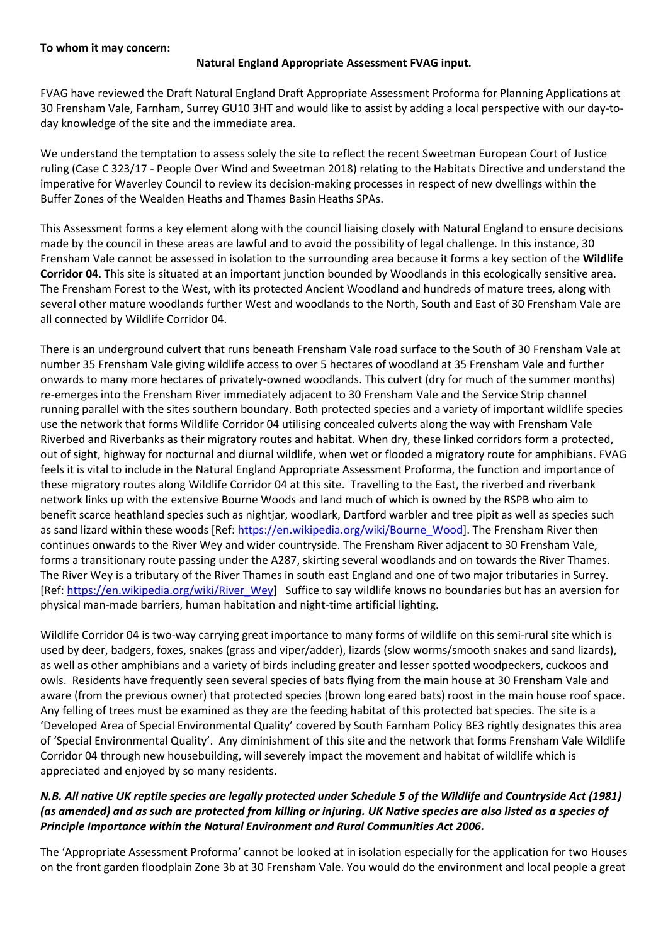## **To whom it may concern:**

## **Natural England Appropriate Assessment FVAG input.**

FVAG have reviewed the Draft Natural England Draft Appropriate Assessment Proforma for Planning Applications at 30 Frensham Vale, Farnham, Surrey GU10 3HT and would like to assist by adding a local perspective with our day-today knowledge of the site and the immediate area.

We understand the temptation to assess solely the site to reflect the recent Sweetman European Court of Justice ruling (Case C 323/17 - People Over Wind and Sweetman 2018) relating to the Habitats Directive and understand the imperative for Waverley Council to review its decision-making processes in respect of new dwellings within the Buffer Zones of the Wealden Heaths and Thames Basin Heaths SPAs.

This Assessment forms a key element along with the council liaising closely with Natural England to ensure decisions made by the council in these areas are lawful and to avoid the possibility of legal challenge. In this instance, 30 Frensham Vale cannot be assessed in isolation to the surrounding area because it forms a key section of the **Wildlife Corridor 04**. This site is situated at an important junction bounded by Woodlands in this ecologically sensitive area. The Frensham Forest to the West, with its protected Ancient Woodland and hundreds of mature trees, along with several other mature woodlands further West and woodlands to the North, South and East of 30 Frensham Vale are all connected by Wildlife Corridor 04.

There is an underground culvert that runs beneath Frensham Vale road surface to the South of 30 Frensham Vale at number 35 Frensham Vale giving wildlife access to over 5 hectares of woodland at 35 Frensham Vale and further onwards to many more hectares of privately-owned woodlands. This culvert (dry for much of the summer months) re-emerges into the Frensham River immediately adjacent to 30 Frensham Vale and the Service Strip channel running parallel with the sites southern boundary. Both protected species and a variety of important wildlife species use the network that forms Wildlife Corridor 04 utilising concealed culverts along the way with Frensham Vale Riverbed and Riverbanks as their migratory routes and habitat. When dry, these linked corridors form a protected, out of sight, highway for nocturnal and diurnal wildlife, when wet or flooded a migratory route for amphibians. FVAG feels it is vital to include in the Natural England Appropriate Assessment Proforma, the function and importance of these migratory routes along Wildlife Corridor 04 at this site. Travelling to the East, the riverbed and riverbank network links up with the extensive Bourne Woods and land much of which is owned by the RSPB who aim to benefit scarce heathland species such as nightjar, woodlark, Dartford warbler and tree pipit as well as species such as sand lizard within these woods [Ref: [https://en.wikipedia.org/wiki/Bourne\\_Wood\]](https://en.wikipedia.org/wiki/Bourne_Wood). The Frensham River then continues onwards to the River Wey and wider countryside. The Frensham River adjacent to 30 Frensham Vale, forms a transitionary route passing under the A287, skirting several woodlands and on towards the River Thames. The River Wey is a tributary of the River Thames in south east England and one of two major tributaries in Surrey. [Ref[: https://en.wikipedia.org/wiki/River\\_Wey\]](https://en.wikipedia.org/wiki/River_Wey) Suffice to say wildlife knows no boundaries but has an aversion for physical man-made barriers, human habitation and night-time artificial lighting.

Wildlife Corridor 04 is two-way carrying great importance to many forms of wildlife on this semi-rural site which is used by deer, badgers, foxes, snakes (grass and viper/adder), lizards (slow worms/smooth snakes and sand lizards), as well as other amphibians and a variety of birds including greater and lesser spotted woodpeckers, cuckoos and owls. Residents have frequently seen several species of bats flying from the main house at 30 Frensham Vale and aware (from the previous owner) that protected species (brown long eared bats) roost in the main house roof space. Any felling of trees must be examined as they are the feeding habitat of this protected bat species. The site is a 'Developed Area of Special Environmental Quality' covered by South Farnham Policy BE3 rightly designates this area of 'Special Environmental Quality'. Any diminishment of this site and the network that forms Frensham Vale Wildlife Corridor 04 through new housebuilding, will severely impact the movement and habitat of wildlife which is appreciated and enjoyed by so many residents.

## *N.B. All native UK reptile species are legally protected under Schedule 5 of the Wildlife and Countryside Act (1981) (as amended) and as such are protected from killing or injuring. UK Native species are also listed as a species of Principle Importance within the Natural Environment and Rural Communities Act 2006.*

The 'Appropriate Assessment Proforma' cannot be looked at in isolation especially for the application for two Houses on the front garden floodplain Zone 3b at 30 Frensham Vale. You would do the environment and local people a great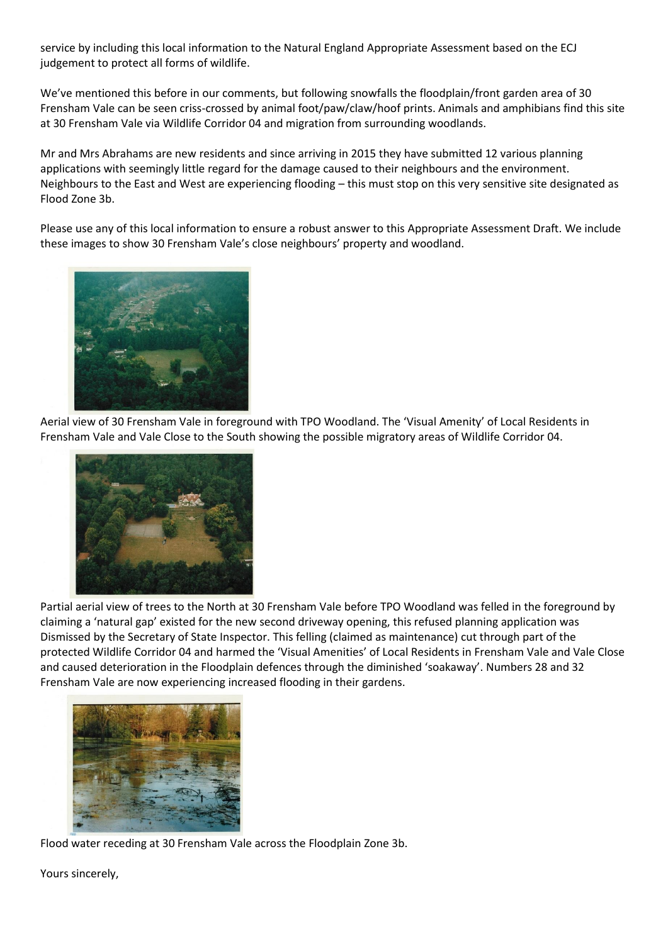service by including this local information to the Natural England Appropriate Assessment based on the ECJ judgement to protect all forms of wildlife.

We've mentioned this before in our comments, but following snowfalls the floodplain/front garden area of 30 Frensham Vale can be seen criss-crossed by animal foot/paw/claw/hoof prints. Animals and amphibians find this site at 30 Frensham Vale via Wildlife Corridor 04 and migration from surrounding woodlands.

Mr and Mrs Abrahams are new residents and since arriving in 2015 they have submitted 12 various planning applications with seemingly little regard for the damage caused to their neighbours and the environment. Neighbours to the East and West are experiencing flooding – this must stop on this very sensitive site designated as Flood Zone 3b.

Please use any of this local information to ensure a robust answer to this Appropriate Assessment Draft. We include these images to show 30 Frensham Vale's close neighbours' property and woodland.



Aerial view of 30 Frensham Vale in foreground with TPO Woodland. The 'Visual Amenity' of Local Residents in Frensham Vale and Vale Close to the South showing the possible migratory areas of Wildlife Corridor 04.



Partial aerial view of trees to the North at 30 Frensham Vale before TPO Woodland was felled in the foreground by claiming a 'natural gap' existed for the new second driveway opening, this refused planning application was Dismissed by the Secretary of State Inspector. This felling (claimed as maintenance) cut through part of the protected Wildlife Corridor 04 and harmed the 'Visual Amenities' of Local Residents in Frensham Vale and Vale Close and caused deterioration in the Floodplain defences through the diminished 'soakaway'. Numbers 28 and 32 Frensham Vale are now experiencing increased flooding in their gardens.



Flood water receding at 30 Frensham Vale across the Floodplain Zone 3b.

Yours sincerely,